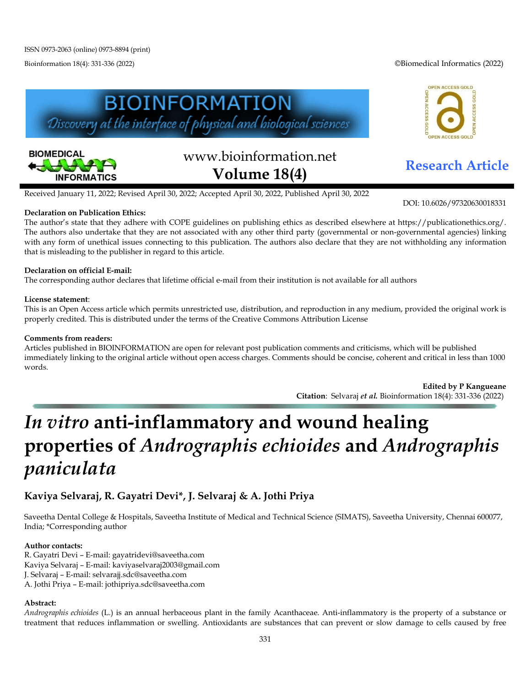Bioinformation 18(4): 331-336 (2022) ©Biomedical Informatics (2022)







# www.bioinformation.net **Research Article Volume 18(4)**

Received January 11, 2022; Revised April 30, 2022; Accepted April 30, 2022, Published April 30, 2022

#### **Declaration on Publication Ethics:**

The author's state that they adhere with COPE guidelines on publishing ethics as described elsewhere at https://publicationethics.org/. The authors also undertake that they are not associated with any other third party (governmental or non-governmental agencies) linking with any form of unethical issues connecting to this publication. The authors also declare that they are not withholding any information that is misleading to the publisher in regard to this article.

#### **Declaration on official E-mail:**

The corresponding author declares that lifetime official e-mail from their institution is not available for all authors

#### **License statement**:

This is an Open Access article which permits unrestricted use, distribution, and reproduction in any medium, provided the original work is properly credited. This is distributed under the terms of the Creative Commons Attribution License

#### **Comments from readers:**

Articles published in BIOINFORMATION are open for relevant post publication comments and criticisms, which will be published immediately linking to the original article without open access charges. Comments should be concise, coherent and critical in less than 1000 words.

> **Edited by P Kangueane Citation**: Selvaraj *et al.* Bioinformation 18(4): 331-336 (2022)

# *In vitro* **anti-inflammatory and wound healing properties of** *Andrographis echioides* **and** *Andrographis paniculata*

## **Kaviya Selvaraj, R. Gayatri Devi\*, J. Selvaraj & A. Jothi Priya**

Saveetha Dental College & Hospitals, Saveetha Institute of Medical and Technical Science (SIMATS), Saveetha University, Chennai 600077, India; \*Corresponding author

#### **Author contacts:**

R. Gayatri Devi – E-mail: gayatridevi@saveetha.com Kaviya Selvaraj – E-mail: kaviyaselvaraj2003@gmail.com J. Selvaraj – E-mail: selvarajj.sdc@saveetha.com A. Jothi Priya – E-mail: jothipriya.sdc@saveetha.com

#### **Abstract:**

*Andrographis echioides* (L.) is an annual herbaceous plant in the family Acanthaceae. Anti-inflammatory is the property of a substance or treatment that reduces inflammation or swelling. Antioxidants are substances that can prevent or slow damage to cells caused by free

DOI: 10.6026/97320630018331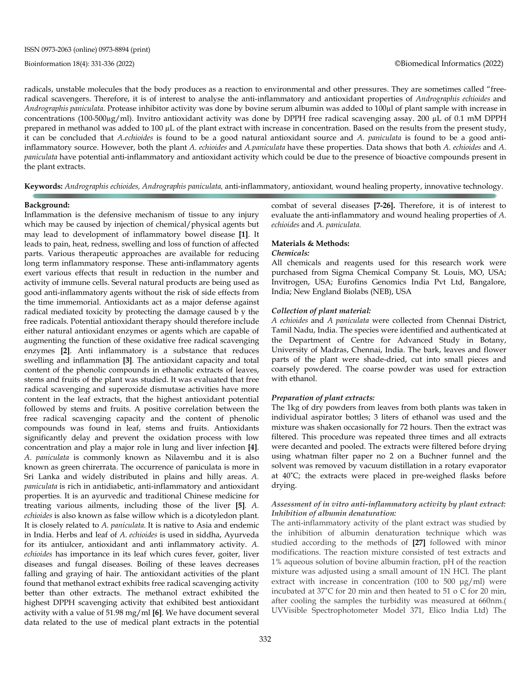radicals, unstable molecules that the body produces as a reaction to environmental and other pressures. They are sometimes called "freeradical scavengers. Therefore, it is of interest to analyse the anti-inflammatory and antioxidant properties of *Andrographis echioides* and *Andrographis paniculata*. Protease inhibitor activity was done by bovine serum albumin was added to 100µl of plant sample with increase in concentrations (100-500µg/ml). Invitro antioxidant activity was done by DPPH free radical scavenging assay. 200 µL of 0.1 mM DPPH prepared in methanol was added to 100 µL of the plant extract with increase in concentration. Based on the results from the present study, it can be concluded that *A.echioides* is found to be a good natural antioxidant source and *A. paniculata* is found to be a good antiinflammatory source. However, both the plant *A. echioides* and *A.paniculata* have these properties. Data shows that both *A. echioides* and *A. paniculata* have potential anti-inflammatory and antioxidant activity which could be due to the presence of bioactive compounds present in the plant extracts.

**Keywords:** *Andrographis echioides, Andrographis paniculata,* anti-inflammatory, antioxidant*,* wound healing property, innovative technology.

#### **Background:**

Inflammation is the defensive mechanism of tissue to any injury which may be caused by injection of chemical/physical agents but may lead to development of inflammatory bowel disease **[\[1\]](https://paperpile.com/c/CpDYFC/QWrrV)**. It leads to pain, heat, redness, swelling and loss of function of affected parts. Various therapeutic approaches are available for reducing long term inflammatory response. These anti-inflammatory agents exert various effects that result in reduction in the number and activity of immune cells. Several natural products are being used as good anti-inflammatory agents without the risk of side effects from the time immemorial. Antioxidants act as a major defense against radical mediated toxicity by protecting the damage caused b y the free radicals. Potential antioxidant therapy should therefore include either natural antioxidant enzymes or agents which are capable of augmenting the function of these oxidative free radical scavenging enzymes **[\[2\]](https://paperpile.com/c/CpDYFC/dcCaW)**. Anti inflammatory is a substance that reduces swelling and inflammation **[\[3\]](https://paperpile.com/c/CpDYFC/9KXlq)**. The antioxidant capacity and total content of the phenolic compounds in ethanolic extracts of leaves, stems and fruits of the plant was studied. It was evaluated that free radical scavenging and superoxide dismutase activities have more content in the leaf extracts, that the highest antioxidant potential followed by stems and fruits. A positive correlation between the free radical scavenging capacity and the content of phenolic compounds was found in leaf, stems and fruits. Antioxidants significantly delay and prevent the oxidation process with low concentration and play a major role in lung and liver infection **[\[4\]](https://paperpile.com/c/CpDYFC/Bdz6)**. *A. paniculata* is commonly known as Nilavembu and it is also known as green chirerrata. The occurrence of paniculata is more in Sri Lanka and widely distributed in plains and hilly areas. *A. paniculata* is rich in antidiabetic, anti-inflammatory and antioxidant properties. It is an ayurvedic and traditional Chinese medicine for treating various ailments, including those of the liver **[\[5\]](https://paperpile.com/c/CpDYFC/yuFjd)***. A. echioides* is also known as false willow which is a dicotyledon plant. It is closely related to *A. paniculata.* It is native to Asia and endemic in India. Herbs and leaf of *A. echioides* is used in siddha, Ayurveda for its antiulcer, antioxidant and anti inflammatory activity. *A. echioides* has importance in its leaf which cures fever, goiter, liver diseases and fungal diseases. Boiling of these leaves decreases falling and graying of hair. The antioxidant activities of the plant found that methanol extract exhibits free radical scavenging activity better than other extracts. The methanol extract exhibited the highest DPPH scavenging activity that exhibited best antioxidant activity with a value of 51.98 mg/ml **[\[6\]](https://paperpile.com/c/CpDYFC/scLeD)**. We have document several data related to the use of medical plant extracts in the potential combat of several diseases **[7-26].** Therefore, it is of interest to evaluate the anti-inflammatory and wound healing properties of *A. echioides* and *A. paniculata.*

#### **Materials & Methods:**

#### *Chemicals:*

All chemicals and reagents used for this research work were purchased from Sigma Chemical Company St. Louis, MO, USA; Invitrogen, USA; Eurofins Genomics India Pvt Ltd, Bangalore, India; New England Biolabs (NEB), USA

#### *Collection of plant material:*

*A echioides* and *A paniculata* were collected from Chennai District, Tamil Nadu, India. The species were identified and authenticated at the Department of Centre for Advanced Study in Botany, University of Madras, Chennai, India. The bark, leaves and flower parts of the plant were shade-dried, cut into small pieces and coarsely powdered. The coarse powder was used for extraction with ethanol.

#### *Preparation of plant extracts:*

The 1kg of dry powders from leaves from both plants was taken in individual aspirator bottles; 3 liters of ethanol was used and the mixture was shaken occasionally for 72 hours. Then the extract was filtered. This procedure was repeated three times and all extracts were decanted and pooled. The extracts were filtered before drying using whatman filter paper no 2 on a Buchner funnel and the solvent was removed by vacuum distillation in a rotary evaporator at 40˚C; the extracts were placed in pre-weighed flasks before drying.

#### *Assessment of in vitro anti-inflammatory activity by plant extract: Inhibition of albumin denaturation:*

The anti-inflammatory activity of the plant extract was studied by the inhibition of albumin denaturation technique which was studied according to the methods of **[\[27\]](https://paperpile.com/c/CpDYFC/DNVW9)** followed with minor modifications. The reaction mixture consisted of test extracts and 1% aqueous solution of bovine albumin fraction, pH of the reaction mixture was adjusted using a small amount of 1N HCl. The plant extract with increase in concentration (100 to 500 μg/ml) were incubated at 37˚C for 20 min and then heated to 51 o C for 20 min, after cooling the samples the turbidity was measured at 660nm.( UVVisible Spectrophotometer Model 371, Elico India Ltd) The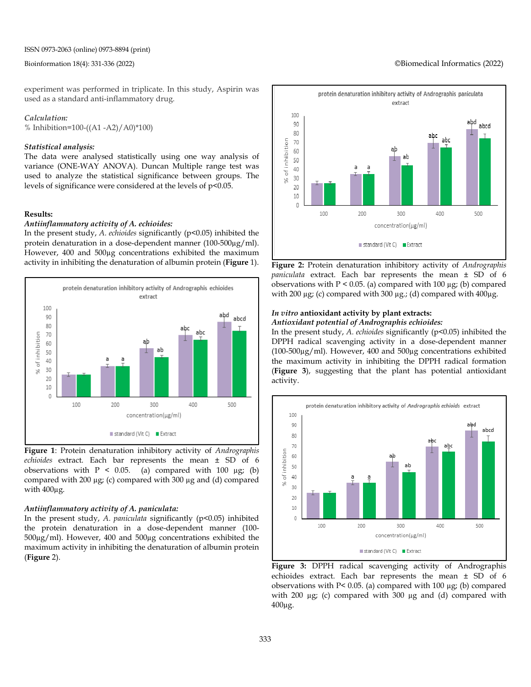#### Bioinformation 18(4): 331-336 (2022) ©Biomedical Informatics (2022)

experiment was performed in triplicate. In this study, Aspirin was used as a standard anti-inflammatory drug.

*Calculation:* % Inhibition=100-((A1 -A2)/A0)\*100)

#### *Statistical analysis:*

The data were analysed statistically using one way analysis of variance (ONE-WAY ANOVA). Duncan Multiple range test was used to analyze the statistical significance between groups. The levels of significance were considered at the levels of p<0.05.

#### **Results:**

#### *Antiinflammatory activity of A. echioides:*

In the present study, *A. echioides* significantly (p<0.05) inhibited the protein denaturation in a dose-dependent manner (100-500µg/ml). However, 400 and 500µg concentrations exhibited the maximum activity in inhibiting the denaturation of albumin protein (**Figure** 1).



**Figure 1**: Protein denaturation inhibitory activity of *Andrographis echioides* extract. Each bar represents the mean ± SD of 6 observations with  $P < 0.05$ . (a) compared with 100 µg; (b) compared with 200 µg; (c) compared with 300 µg and (d) compared with 400µg.

#### *Antiinflammatory activity of A. paniculata:*

In the present study, *A. paniculata* significantly (p<0.05) inhibited the protein denaturation in a dose-dependent manner (100- 500µg/ml). However, 400 and 500µg concentrations exhibited the maximum activity in inhibiting the denaturation of albumin protein (**Figure** 2).



**Figure 2:** Protein denaturation inhibitory activity of *Andrographis paniculata* extract. Each bar represents the mean ± SD of 6 observations with  $P < 0.05$ . (a) compared with 100  $\mu$ g; (b) compared with 200 µg; (c) compared with 300 µg.; (d) compared with 400µg.

## *In vitro* **antioxidant activity by plant extracts:**

*Antioxidant potential of Andrographis echioides:*

In the present study, *A. echioides* significantly (p<0.05) inhibited the DPPH radical scavenging activity in a dose-dependent manner (100-500µg/ml). However, 400 and 500µg concentrations exhibited the maximum activity in inhibiting the DPPH radical formation (**Figure 3**), suggesting that the plant has potential antioxidant activity.



**Figure 3:** DPPH radical scavenging activity of Andrographis echioides extract. Each bar represents the mean ± SD of 6 observations with P< 0.05. (a) compared with 100 µg; (b) compared with 200 µg; (c) compared with 300 µg and (d) compared with 400µg.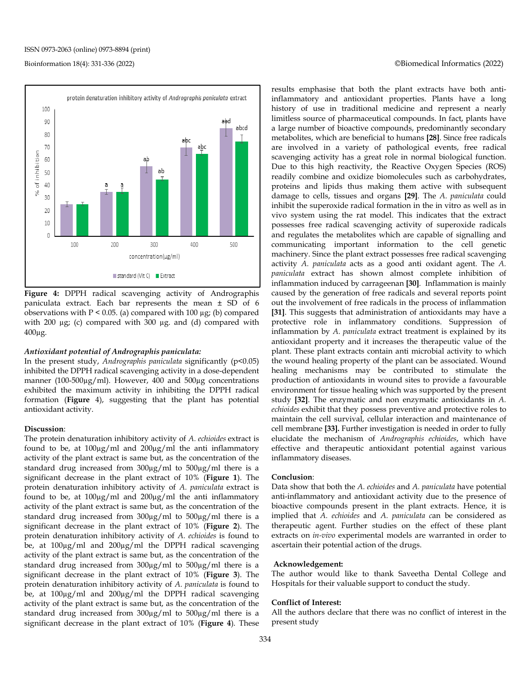#### protein denaturation inhibitory activity of Andrographis paniculata extract 100 90 abcd 80 70 abc of inhibition 60 50 ab 40 × 30 20  $10$  $\theta$ 100 200 500 300 400 concentration(µg/ml) standard (Vit C) Extract

**Figure 4:** DPPH radical scavenging activity of Andrographis paniculata extract. Each bar represents the mean ± SD of 6 observations with  $P < 0.05$ . (a) compared with 100  $\mu$ g; (b) compared with 200 µg; (c) compared with 300 µg. and (d) compared with 400µg.

#### *Antioxidant potential of Andrographis paniculata:*

In the present study, *Andrographis paniculata* significantly (p<0.05) inhibited the DPPH radical scavenging activity in a dose-dependent manner (100-500µg/ml). However, 400 and 500µg concentrations exhibited the maximum activity in inhibiting the DPPH radical formation (**Figure** 4), suggesting that the plant has potential antioxidant activity.

#### **Discussion**:

The protein denaturation inhibitory activity of *A. echioides* extract is found to be, at 100µg/ml and 200µg/ml the anti inflammatory activity of the plant extract is same but, as the concentration of the standard drug increased from 300µg/ml to 500µg/ml there is a significant decrease in the plant extract of 10% (**Figure 1**). The protein denaturation inhibitory activity of *A. paniculata* extract is found to be, at 100µg/ml and 200µg/ml the anti inflammatory activity of the plant extract is same but, as the concentration of the standard drug increased from 300µg/ml to 500µg/ml there is a significant decrease in the plant extract of 10% (**Figure 2**). The protein denaturation inhibitory activity of *A. echioides* is found to be, at 100µg/ml and 200µg/ml the DPPH radical scavenging activity of the plant extract is same but, as the concentration of the standard drug increased from 300µg/ml to 500µg/ml there is a significant decrease in the plant extract of 10% (**Figure 3**). The protein denaturation inhibitory activity of *A. paniculata* is found to be, at 100µg/ml and 200µg/ml the DPPH radical scavenging activity of the plant extract is same but, as the concentration of the standard drug increased from 300µg/ml to 500µg/ml there is a significant decrease in the plant extract of 10% (**Figure 4**). These results emphasise that both the plant extracts have both antiinflammatory and antioxidant properties. Plants have a long history of use in traditional medicine and represent a nearly limitless source of pharmaceutical compounds. In fact, plants have a large number of bioactive compounds, predominantly secondary metabolites, which are beneficial to humans **[\[28\]](https://paperpile.com/c/CpDYFC/nwT5A)**. Since free radicals are involved in a variety of pathological events, free radical scavenging activity has a great role in normal biological function. Due to this high reactivity, the Reactive Oxygen Species (ROS) readily combine and oxidize biomolecules such as carbohydrates, proteins and lipids thus making them active with subsequent damage to cells, tissues and organs **[\[29\]](https://paperpile.com/c/CpDYFC/ektG1)**. The *A. paniculata* could inhibit the superoxide radical formation in the in vitro as well as in vivo system using the rat model. This indicates that the extract possesses free radical scavenging activity of superoxide radicals and regulates the metabolites which are capable of signalling and communicating important information to the cell genetic machinery. Since the plant extract possesses free radical scavenging activity *A. paniculata* acts as a good anti oxidant agent. The *A. paniculata* extract has shown almost complete inhibition of inflammation induced by carrageenan **[\[30\]](https://paperpile.com/c/CpDYFC/Aq7Rg)**. Inflammation is mainly caused by the generation of free radicals and several reports point out the involvement of free radicals in the process of inflammation **[\[31\]](https://paperpile.com/c/CpDYFC/LJBns)**. This suggests that administration of antioxidants may have a protective role in inflammatory conditions. Suppression of inflammation by *A. paniculata* extract treatment is explained by its antioxidant property and it increases the therapeutic value of the plant. These plant extracts contain anti microbial activity to which the wound healing property of the plant can be associated. Wound healing mechanisms may be contributed to stimulate the production of antioxidants in wound sites to provide a favourable environment for tissue healing which was supported by the present study **[\[32\]](https://paperpile.com/c/CpDYFC/t7gMT)**. The enzymatic and non enzymatic antioxidants in *A. echioides* exhibit that they possess preventive and protective roles to maintain the cell survival, cellular interaction and maintenance of cell membrane **[\[33\].](https://paperpile.com/c/CpDYFC/NWQg1)** Further investigation is needed in order to fully elucidate the mechanism of *Andrographis echioides*, which have effective and therapeutic antioxidant potential against various inflammatory diseases.

#### **Conclusion**:

Data show that both the *A. echioides* and *A. paniculata* have potential anti-inflammatory and antioxidant activity due to the presence of bioactive compounds present in the plant extracts. Hence, it is implied that *A. echioides* and *A. paniculata c*an be considered as therapeutic agent. Further studies on the effect of these plant extracts on *in-vivo* experimental models are warranted in order to ascertain their potential action of the drugs.

#### **Acknowledgement:**

The author would like to thank Saveetha Dental College and Hospitals for their valuable support to conduct the study.

#### **Conflict of Interest:**

All the authors declare that there was no conflict of interest in the present study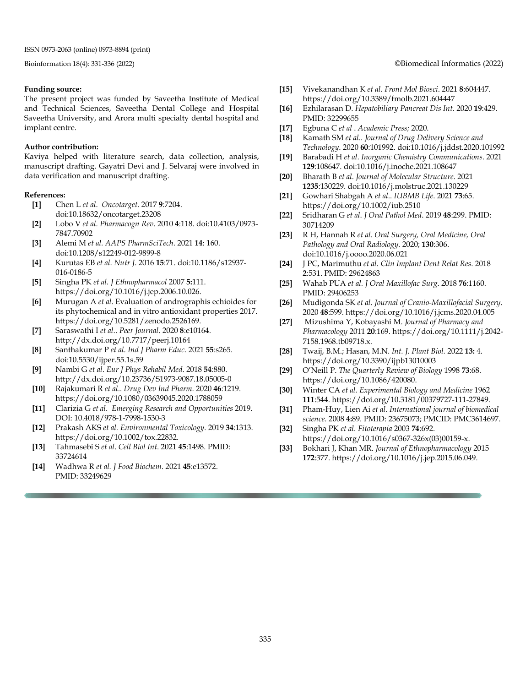#### **Funding source:**

The present project was funded by Saveetha Institute of Medical and Technical Sciences, Saveetha Dental College and Hospital Saveetha University, and Arora multi specialty dental hospital and implant centre.

#### **Author contribution:**

Kaviya helped with literature search, data collection, analysis, manuscript drafting. Gayatri Devi and J. Selvaraj were involved in data verification and manuscript drafting.

#### **References:**

- **[1]** Chen L *et al*. *Oncotarget*. 2017 **9**:7204. doi:10.18632/oncotarget.23208
- **[2]** Lobo V *et al*. *Pharmacogn Rev*. 2010 **4**:118. doi:10.4103/0973- 7847.70902
- **[3]** Alemi M *et al. AAPS PharmSciTech*. 2021 **14**: 160. doi:10.1208/s12249-012-9899-8
- **[4]** Kurutas EB *et al*. *Nutr J*. 2016 **15**:71. doi:10.1186/s12937- 016-0186-5
- **[5]** Singha PK *[et al. J Ethnopharmacol](http://paperpile.com/b/CpDYFC/yuFjd)* 2007 **5:**111. [https://doi.org/10.1016/j.jep.2006.10.026.](http://paperpile.com/b/CpDYFC/yuFjd)
- **[6]** Murugan A *et al.* Evaluation of andrographis echioides for its phytochemical and in vitro antioxidant properties 2017. https://doi.org/10.5281/zenodo.2526169.
- **[7]** [Saraswathi](http://paperpile.com/b/6zYOIp/n5oY) I *et al*.. *[Peer Jo](http://paperpile.com/b/6zYOIp/n5oY)urnal*. 2020 **8**[:e10164.](http://paperpile.com/b/6zYOIp/n5oY) http://dx.doi.org/10.7717/peerj.10164
- **[8]** [Santhakumar P](http://paperpile.com/b/6zYOIp/eBhn) *et al*. *[Ind J Pharm Educ](http://paperpile.com/b/6zYOIp/eBhn)*[. 2021](http://paperpile.com/b/6zYOIp/eBhn) **55**:s265. doi:10.5530/ijper.55.1s.59
- **[9]** Nambi G *et al*[.](http://paperpile.com/b/6zYOIp/HWFt) *[Eur J Phys Rehabil Med](http://paperpile.com/b/6zYOIp/HWFt)*[. 2018](http://paperpile.com/b/6zYOIp/HWFt) **54**:880. http://dx.doi.org/10.23736/S1973-9087.18.05005-0
- **[10]** [Rajakumari R](http://paperpile.com/b/6zYOIp/LzUa) *et al*.. *[Drug Dev Ind Pharm](http://paperpile.com/b/6zYOIp/LzUa)*[. 2020](http://paperpile.com/b/6zYOIp/LzUa) **46**:1219. <https://doi.org/10.1080/03639045.2020.1788059>
- **[11]** [Clarizia G](http://paperpile.com/b/CpDYFC/Q5gNb) *et al*. *[Emerging Research and Opportunities](http://paperpile.com/b/CpDYFC/Q5gNb)* [2019.](http://paperpile.com/b/CpDYFC/Q5gNb) [DOI: 10.4018/978-1-7998-1530-3](http://paperpile.com/b/CpDYFC/Q5gNb)
- **[\[12\]](http://paperpile.com/b/CpDYFC/Q5gNb)** Prakash AKS *[et al. Environmental Toxicology.](http://paperpile.com/b/CpDYFC/Q5gNb)* 2019 **34**:1313. https://doi.org[/1](http://dx.doi.org/10.1002/tox.22832)0.1002/tox.2283[2.](http://dx.doi.org/10.1002/tox.22832)
- **[13]** [Tahmasebi S](http://paperpile.com/b/6zYOIp/73vU) *et al*[.](http://paperpile.com/b/6zYOIp/73vU) *[Cell Biol Int](http://paperpile.com/b/6zYOIp/73vU)*[. 2021](http://paperpile.com/b/6zYOIp/73vU) **45**:1498. PMID: 33724614
- **[14]** [Wadhwa R](http://paperpile.com/b/6zYOIp/EY7u) *et al. [J Food Biochem](http://paperpile.com/b/6zYOIp/EY7u)*. 2021 **45**[:e13572.](http://paperpile.com/b/6zYOIp/EY7u) PMID: [33249629](http://www.ncbi.nlm.nih.gov/pubmed/33249629)

#### Bioinformation 18(4): 331-336 (2022) ©Biomedical Informatics (2022)

- **[15]** [Vivekanandhan K](http://paperpile.com/b/6zYOIp/npmD) *et al*[.](http://paperpile.com/b/6zYOIp/npmD) *[Front Mol Biosci](http://paperpile.com/b/6zYOIp/npmD)*. 2021 **8**[:604447.](http://paperpile.com/b/6zYOIp/npmD) https://doi.org/10.3389/fmolb.2021.604447
- **[16]** [Ezhilarasan D.](http://paperpile.com/b/6zYOIp/geuF) *[Hepatobiliary Pancreat Dis Int](http://paperpile.com/b/6zYOIp/geuF)*[. 2020](http://paperpile.com/b/6zYOIp/geuF) **19**:429. PMID: 32299655
- **[17]** [Egbuna C](http://paperpile.com/b/6zYOIp/TgbpD) *et al* . *[Academic Press;](http://paperpile.com/b/6zYOIp/TgbpD)* 2020.
- **[18]** [Kamath SM](http://paperpile.com/b/6zYOIp/KxGB) *et al*.. *[Journal of Drug Delivery Science and](http://paperpile.com/b/6zYOIp/KxGB)  Technology*. 2020 **60**[:101992. doi:10.1016/j.jddst.2020.101992](http://paperpile.com/b/6zYOIp/KxGB)
- **[19]** [Barabadi H](http://paperpile.com/b/6zYOIp/kUsW) *et al*[.](http://paperpile.com/b/6zYOIp/kUsW) *[Inorganic Chemistry Communications](http://paperpile.com/b/6zYOIp/kUsW)*[. 2021](http://paperpile.com/b/6zYOIp/kUsW)  **129**[:108647. doi:10.1016/j.inoche.2021.108647](http://paperpile.com/b/6zYOIp/kUsW)
- **[20]** [Bharath B](http://paperpile.com/b/6zYOIp/qXWz) *et al*. *[Journal of Molecular Structure](http://paperpile.com/b/6zYOIp/qXWz)*[. 2021](http://paperpile.com/b/6zYOIp/qXWz)  **1235**[:130229. doi:10.1016/j.molstruc.2021.130229](http://paperpile.com/b/6zYOIp/qXWz)
- **[21]** [Gowhari Shabgah A](http://paperpile.com/b/6zYOIp/kqhd) *et al*.. *[IUBMB Life](http://paperpile.com/b/6zYOIp/kqhd)*[. 2021](http://paperpile.com/b/6zYOIp/kqhd) **73**:65. https://doi.org/10.1002/iub.2510
- **[22]** [Sridharan G](http://paperpile.com/b/6zYOIp/s9qP) *et al*[.](http://paperpile.com/b/6zYOIp/s9qP) *[J Oral Pathol Med](http://paperpile.com/b/6zYOIp/s9qP)*[. 2019](http://paperpile.com/b/6zYOIp/s9qP) **48**:299. PMID: 30714209
- **[23]** [R H, Hannah R](http://paperpile.com/b/6zYOIp/6Ltt) *et al*. *[Oral Surgery, Oral Medicine, Oral](http://paperpile.com/b/6zYOIp/6Ltt)  Pathology and Oral Radiology*[. 2020;](http://paperpile.com/b/6zYOIp/6Ltt) **130**:306. [doi:10.1016/j.oooo.2020.06.021](http://paperpile.com/b/6zYOIp/6Ltt)
- **[24]** [J PC, Marimuthu](http://paperpile.com/b/6zYOIp/tngW) *et al. [Clin Implant Dent Relat Res](http://paperpile.com/b/6zYOIp/tngW)*[. 2018](http://paperpile.com/b/6zYOIp/tngW)  **2**[:531.](http://paperpile.com/b/6zYOIp/tngW) PMID: 29624863
- **[25]** [Wahab PUA](http://paperpile.com/b/6zYOIp/q2Hx) *et al. [J Oral Maxillofac Surg](http://paperpile.com/b/6zYOIp/q2Hx)*[. 2018](http://paperpile.com/b/6zYOIp/q2Hx) **76**:1160. PMID: 29406253
- **[26]** [Mudigonda SK](http://paperpile.com/b/6zYOIp/5n96O) *et al*. *[Journal of Cranio-Maxillofacial Surgery](http://paperpile.com/b/6zYOIp/5n96O)*[.](http://paperpile.com/b/6zYOIp/5n96O)  [2020](http://paperpile.com/b/6zYOIp/5n96O) **48**:599. https://doi.org/10.1016/j.jcms.2020.04.005
- **[27]** [Mizushima Y, Kobayashi M.](http://paperpile.com/b/CpDYFC/DNVW9) *Journal of Pharmacy and Pharmacology* 2011 **20**[:169. https://doi.org/10.1111/j.2042-](http://paperpile.com/b/CpDYFC/DNVW9) 7158.1968.tb09718.[x.](http://paperpile.com/b/CpDYFC/DNVW9)
- **[28]** Twaij, B.M.; Hasan, M.N. *Int. J. Plant Biol.* 2022 **13:** 4. https://doi.org/10.3390/ijpb13010003
- **[29]** O'Neill P. *The Quarterly Review of Biology* 1998 **73**:68. https://doi.org/10.1086/420080.
- **[30]** Winter CA *et al. Experimental Biology and Medicine* 1962 **111**:544. https://doi.org/10.3181/00379727-111-27849.
- **[31]** Pham-Huy, Lien Ai *et al. International journal of biomedical science.* 2008 **4:**89. PMID: 23675073; PMCID: PMC3614697.
- **[32]** Singha PK *et al*. *Fitoterapia* 2003 **74**:692. https://doi.org/10.1016/s0367-326x(03)00159-x[.](http://paperpile.com/b/CpDYFC/t7gMT)
- **[33]** Bokhari J, Khan MR. *Journal of Ethnopharmacology* 2015 **172**:377. https://doi.org/10.1016/j.jep.2015.06.049[.](http://paperpile.com/b/CpDYFC/NWQg1)